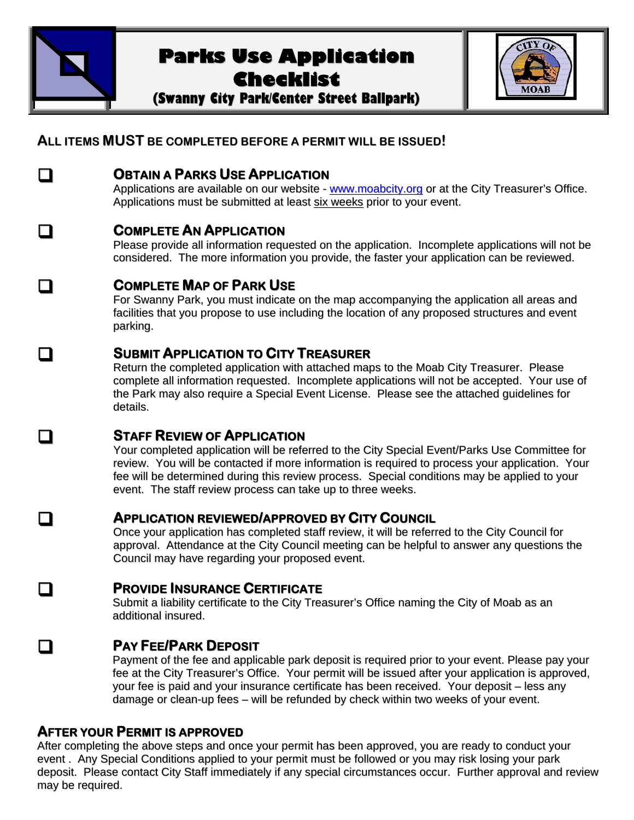

# **Parks Use Application Checklist**

**(Swanny City Park/Center Street Ballpark)**

| JB<br>OA |
|----------|

# **ALL ITEMS MUST BE COMPLETED BEFORE A PERMIT WILL BE ISSUED!**

### **OBTAIN <sup>A</sup> PARKS USE APPLICATION**

Applications are available on our website - www.moabcity.org or at the City Treasurer's Office. Applications must be submitted at least six weeks prior to your event.

## **COMPLETE AN APPLICATION**

Please provide all information requested on the application. Incomplete applications will not be considered. The more information you provide, the faster your application can be reviewed.

# **COMPLETE MAP OF PARK USE**

For Swanny Park, you must indicate on the map accompanying the application all areas and facilities that you propose to use including the location of any proposed structures and event parking.

## **SUBMIT APPLICATION TO CITY TREASURER**

Return the completed application with attached maps to the Moab City Treasurer. Please complete all information requested. Incomplete applications will not be accepted. Your use of the Park may also require a Special Event License. Please see the attached guidelines for details.

# **STAFF REVIEW OF APPLICATION**

Your completed application will be referred to the City Special Event/Parks Use Committee for review. You will be contacted if more information is required to process your application. Your fee will be determined during this review process. Special conditions may be applied to your event. The staff review process can take up to three weeks.

### **APPLICATION REVIEWED/APPROVED BY CITY COUNCIL**

Once your application has completed staff review, it will be referred to the City Council for approval. Attendance at the City Council meeting can be helpful to answer any questions the Council may have regarding your proposed event.

# **PROVIDE INSURANCE CERTIFICATE**

Submit a liability certificate to the City Treasurer's Office naming the City of Moab as an additional insured.

# **PAY FEE/PARK DEPOSIT**

Payment of the fee and applicable park deposit is required prior to your event. Please pay your fee at the City Treasurer's Office. Your permit will be issued after your application is approved, your fee is paid and your insurance certificate has been received. Your deposit – less any damage or clean-up fees – will be refunded by check within two weeks of your event.

### **AFTER YOUR PERMIT IS APPROVED**

After completing the above steps and once your permit has been approved, you are ready to conduct your event . Any Special Conditions applied to your permit must be followed or you may risk losing your park deposit. Please contact City Staff immediately if any special circumstances occur. Further approval and review may be required.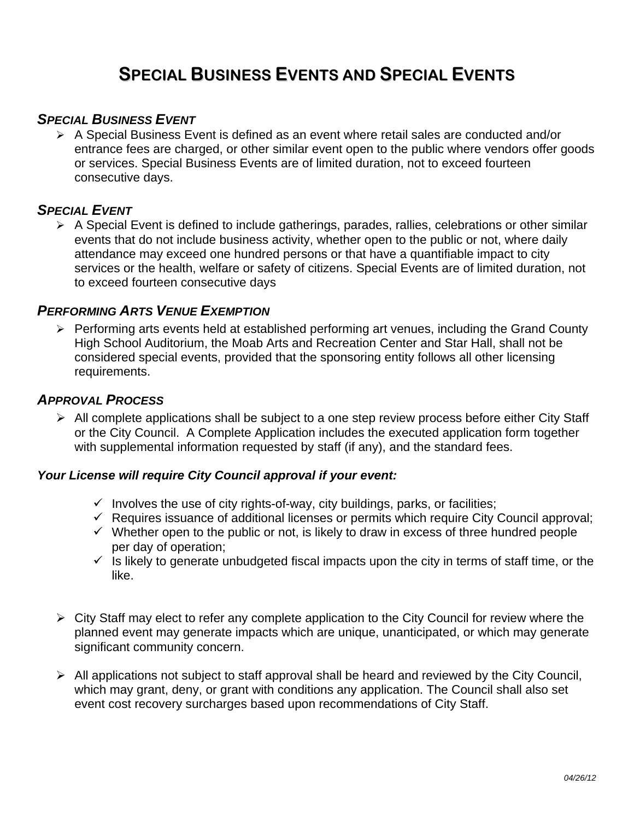# **SPECIAL BUSINESS EVENTS AND SPECIAL EVENTS**

### *SPECIAL BUSINESS EVENT*

 $\triangleright$  A Special Business Event is defined as an event where retail sales are conducted and/or entrance fees are charged, or other similar event open to the public where vendors offer goods or services. Special Business Events are of limited duration, not to exceed fourteen consecutive days.

### *SPECIAL EVENT*

 $\triangleright$  A Special Event is defined to include gatherings, parades, rallies, celebrations or other similar events that do not include business activity, whether open to the public or not, where daily attendance may exceed one hundred persons or that have a quantifiable impact to city services or the health, welfare or safety of citizens. Special Events are of limited duration, not to exceed fourteen consecutive days

### *PERFORMING ARTS VENUE EXEMPTION*

 $\triangleright$  Performing arts events held at established performing art venues, including the Grand County High School Auditorium, the Moab Arts and Recreation Center and Star Hall, shall not be considered special events, provided that the sponsoring entity follows all other licensing requirements.

### *APPROVAL PROCESS*

 $\triangleright$  All complete applications shall be subject to a one step review process before either City Staff or the City Council. A Complete Application includes the executed application form together with supplemental information requested by staff (if any), and the standard fees.

#### *Your License will require City Council approval if your event:*

- $\checkmark$  Involves the use of city rights-of-way, city buildings, parks, or facilities;
- $\checkmark$  Requires issuance of additional licenses or permits which require City Council approval;
- $\checkmark$  Whether open to the public or not, is likely to draw in excess of three hundred people per day of operation;
- $\checkmark$  is likely to generate unbudgeted fiscal impacts upon the city in terms of staff time, or the like.
- $\triangleright$  City Staff may elect to refer any complete application to the City Council for review where the planned event may generate impacts which are unique, unanticipated, or which may generate significant community concern.
- $\triangleright$  All applications not subject to staff approval shall be heard and reviewed by the City Council, which may grant, deny, or grant with conditions any application. The Council shall also set event cost recovery surcharges based upon recommendations of City Staff.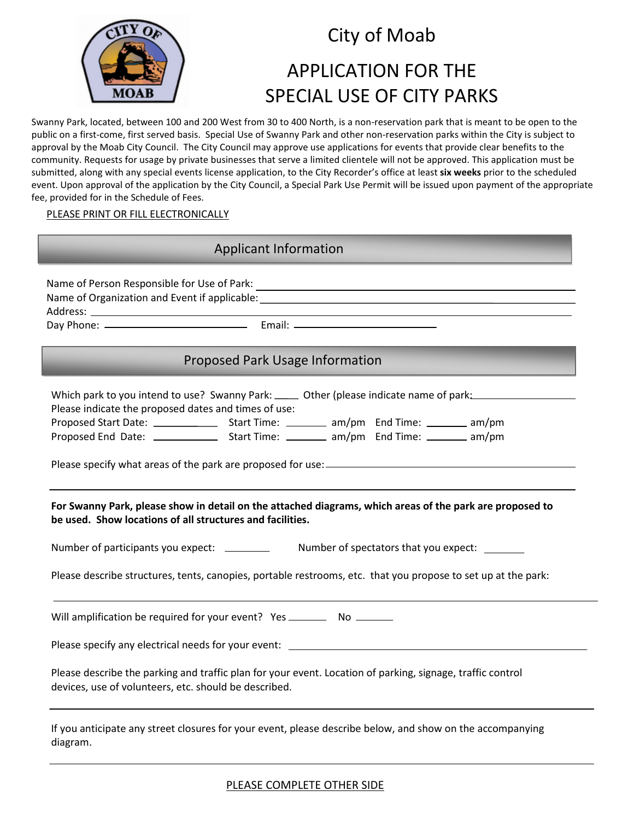

# City of Moab

# APPLICATION FOR THE SPECIAL USE OF CITY PARKS

Swanny Park, located, between 100 and 200 West from 30 to 400 North, is a non-reservation park that is meant to be open to the public on a first-come, first served basis. Special Use of Swanny Park and other non-reservation parks within the City is subject to approval by the Moab City Council. The City Council may approve use applications for events that provide clear benefits to the community. Requests for usage by private businesses that serve a limited clientele will not be approved. This application must be submitted, along with any special events license application, to the City Recorder's office at least **six weeks** prior to the scheduled event. Upon approval of the application by the City Council, a Special Park Use Permit will be issued upon payment of the appropriate fee, provided for in the Schedule of Fees.

#### PLEASE PRINT OR FILL ELECTRONICALLY

### Applicant Information

Name of Person Responsible for Use of Park: Name of Organization and Event if applicable: Address: Day Phone: Email:

### Proposed Park Usage Information

| Which park to you intend to use? Swanny Park: _____ Other (please indicate name of park: _________________                                                            |  |  |
|-----------------------------------------------------------------------------------------------------------------------------------------------------------------------|--|--|
| Please indicate the proposed dates and times of use:                                                                                                                  |  |  |
|                                                                                                                                                                       |  |  |
|                                                                                                                                                                       |  |  |
|                                                                                                                                                                       |  |  |
| For Swanny Park, please show in detail on the attached diagrams, which areas of the park are proposed to<br>be used. Show locations of all structures and facilities. |  |  |
|                                                                                                                                                                       |  |  |
| Please describe structures, tents, canopies, portable restrooms, etc. that you propose to set up at the park:                                                         |  |  |
| Will amplification be required for your event? Yes ______________________________                                                                                     |  |  |
| Please specify any electrical needs for your event: ____________________________                                                                                      |  |  |
| Please describe the parking and traffic plan for your event. Location of parking, signage, traffic control<br>devices, use of volunteers, etc. should be described.   |  |  |

If you anticipate any street closures for your event, please describe below, and show on the accompanying diagram.

PLEASE COMPLETE OTHER SIDE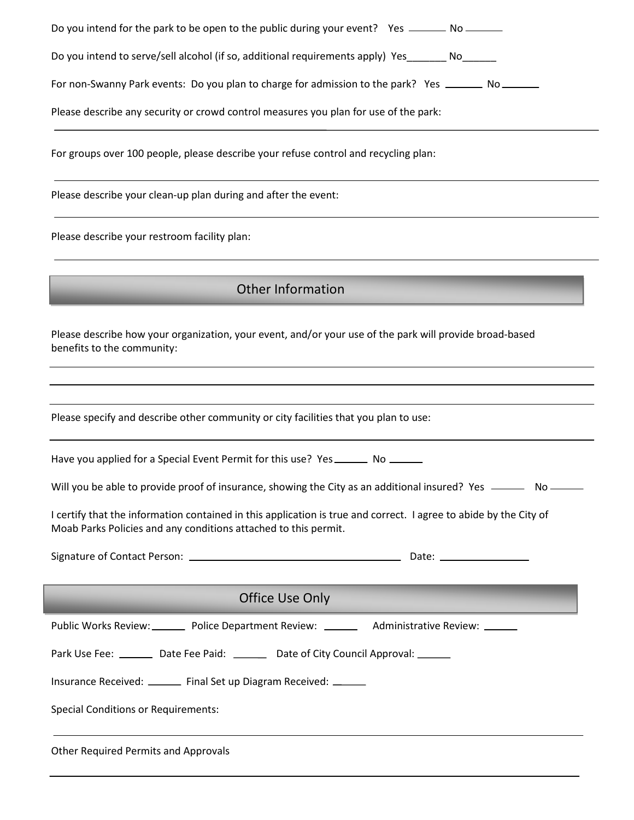| Do you intend for the park to be open to the public during your event? Yes ______ No ______                                                                                          |  |  |
|--------------------------------------------------------------------------------------------------------------------------------------------------------------------------------------|--|--|
| Do you intend to serve/sell alcohol (if so, additional requirements apply) Yes________ No______                                                                                      |  |  |
| For non-Swanny Park events: Do you plan to charge for admission to the park? Yes _______ No _______                                                                                  |  |  |
| Please describe any security or crowd control measures you plan for use of the park:                                                                                                 |  |  |
| For groups over 100 people, please describe your refuse control and recycling plan:                                                                                                  |  |  |
| Please describe your clean-up plan during and after the event:                                                                                                                       |  |  |
| Please describe your restroom facility plan:                                                                                                                                         |  |  |
| <b>Other Information</b>                                                                                                                                                             |  |  |
|                                                                                                                                                                                      |  |  |
| Please describe how your organization, your event, and/or your use of the park will provide broad-based<br>benefits to the community:                                                |  |  |
|                                                                                                                                                                                      |  |  |
| Please specify and describe other community or city facilities that you plan to use:                                                                                                 |  |  |
| Have you applied for a Special Event Permit for this use? Yes ________ No _______                                                                                                    |  |  |
| Will you be able to provide proof of insurance, showing the City as an additional insured? Yes _________ No _______                                                                  |  |  |
| I certify that the information contained in this application is true and correct. I agree to abide by the City of<br>Moab Parks Policies and any conditions attached to this permit. |  |  |
|                                                                                                                                                                                      |  |  |
| Office Use Only                                                                                                                                                                      |  |  |
| Public Works Review: _________ Police Department Review: _________ Administrative Review: _______                                                                                    |  |  |
| Park Use Fee: ________ Date Fee Paid: _______ Date of City Council Approval: ______                                                                                                  |  |  |
| Insurance Received: _______ Final Set up Diagram Received: ______                                                                                                                    |  |  |
| <b>Special Conditions or Requirements:</b>                                                                                                                                           |  |  |
| <b>Other Required Permits and Approvals</b>                                                                                                                                          |  |  |